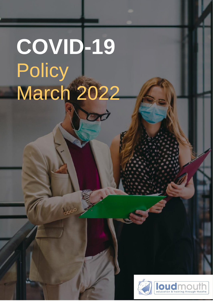# **COVID-19 Policy** March 2022



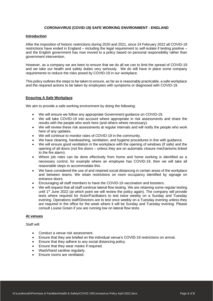# **CORONAVIRUS (COVID-19) SAFE WORKING ENVIRONMENT - ENGLAND**

### **Introduction**

After the imposition of historic restrictions during 2020 and 2021, since 24 February 2022 all COVID-19 restrictions have ended in England – including the legal requirement to self-isolate if testing positive – and the English government has now moved to a policy based on personal responsibility rather than government intervention.

However, as a company we are keen to ensure that we do all we can to limit the spread of COVID-19 and we take our health and safety duties very seriously. We do still have in place some company requirements to reduce the risks posed by COVID-19 in our workplace.

This policy outlines the steps to be taken to ensure, as far as is reasonably practicable, a safe workplace and the required actions to be taken by employees with symptoms or diagnosed with COVID-19.

#### **Ensuring A Safe Workplace**

We aim to provide a safe working environment by doing the following:

- We will ensure we follow any appropriate Government guidance on COVID-19.
- We will take COVID-19 into account where appropriate in risk assessments and share the results with the people who work here (and others where necessary).
- We will review these risk assessments at regular intervals and will notify the people who work here of any updates.
- We will continue to monitor rates of COVID-19 in the community.
- We have cleaning, handwashing, ventilation, and hygiene procedures in line with guidance.
- We will ensure good ventilation in the workplace with the opening of windows (if safe) and the opening of all doors (not fire doors – unless they are on automatic closure mechanisms linked to the fire alarm).
- Where job roles can be done effectively from home and home working is identified as a necessary control, for example where an employee has COVID-19, then we will take all reasonable steps to accommodate this.
- We have considered the use of and retained social distancing in certain areas of the workplace and between teams. We retain restrictions on room occupancy identified by signage on entrance doors.
- Encouraging all staff members to have the COVID-19 vaccination and boosters.
- We will request that all staff continue lateral flow testing. We are retaining some regular testing until 1<sup>st</sup> June 2022 (at which point we will review the policy again). The company will provide tests where required for Actor/Facilitators to test twice weekly on a Sunday and Tuesday evening. Operations staff/Directors are to test once weekly on a Tuesday evening unless they are required in the office for the week where it will be Sunday and Tuesday evening. Please consult Louise Green if you are running low on lateral flow tests.

## **At venues**

Staff will:

- Conduct a venue risk assessment.
- Ensure that they are briefed on the individual venue's COVID-19 restrictions on arrival.
- Ensure that they adhere to any social distancing policy.
- Ensure that they wear masks if required.
- Wash/hand sanitise regularly.
- Ensure rooms are ventilated.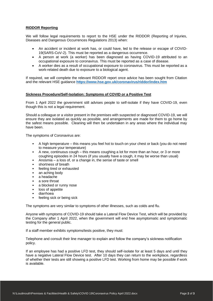# **RIDDOR Reporting**

We will follow legal requirements to report to the HSE under the RIDDOR (Reporting of Injuries, Diseases and Dangerous Occurrences Regulations 2013) when:

- An accident or incident at work has, or could have, led to the release or escape of COVID-19(SARS-CoV-2). This must be reported as a dangerous occurrence.
- A person at work (a worker) has been diagnosed as having COVID-19 attributed to an occupational exposure to coronavirus. This must be reported as a case of disease.
- A worker dies as a result of occupational exposure to coronavirus. This must be reported as a work-related death due to exposure to a biological agent.

If required, we will complete the relevant RIDDOR report once advice has been sought from Citation and the relevant HSE guidance **<https://www.hse.gov.uk/coronavirus/riddor/index.htm>**

## **Sickness Procedure/Self-Isolation: Symptoms of COVID or a Positive Test**

From 1 April 2022 the government still advises people to self-isolate if they have COVID-19, even though this is not a legal requirement.

Should a colleague or a visitor present in the premises with suspected or diagnosed COVID-19, we will ensure they are isolated as quickly as possible, and arrangements are made for them to go home by the safest means possible. Cleaning will then be undertaken in any areas where the individual may have been.

The symptoms of Coronavirus are:

- A high temperature this means you feel hot to touch on your chest or back (you do not need to measure your temperature)
- A new, continuous cough this means coughing a lot for more than an hour, or 3 or more coughing episodes in 24 hours (if you usually have a cough, it may be worse than usual)
- Anosmia a loss of, or a change in, the sense of taste or smell
- shortness of breath
- feeling tired or exhausted
- an aching body
- a headache
- a sore throat
- a blocked or runny nose
- loss of appetite
- diarrhoea
- feeling sick or being sick

The symptoms are very similar to symptoms of other illnesses, such as colds and flu.

Anyone with symptoms of COVID-19 should take a Lateral Flow Device Test, which will be provided by the Company after 1 April 2022, when the government will end free asymptomatic and symptomatic testing for the general public.

If a staff member exhibits symptoms/tests positive, they must:

Telephone and consult their line manager to explain and follow the company's sickness notification policy.

If an employee has had a positive LFD test, they should self-isolate for at least 5 days and until they have a negative Lateral Flow Device test. After 10 days they can return to the workplace, regardless of whether their tests are still showing a positive LFD test. Working from home may be possible if work is available.